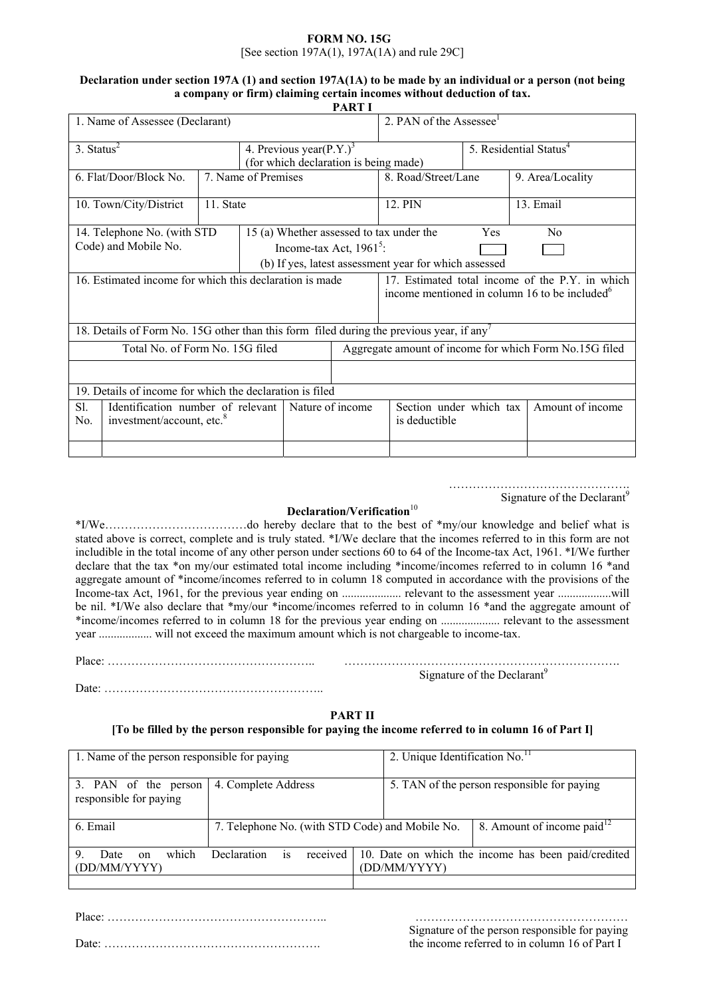#### **FORM NO. 15G** [See section 197A(1), 197A(1A) and rule 29C]

# **Declaration under section 197A (1) and section 197A(1A) to be made by an individual or a person (not being a company or firm) claiming certain incomes without deduction of tax.**

|                                                                                                              |                                                       |                     |                                       | <b>PART I</b>                                          |                                                                                                              |                  |                  |
|--------------------------------------------------------------------------------------------------------------|-------------------------------------------------------|---------------------|---------------------------------------|--------------------------------------------------------|--------------------------------------------------------------------------------------------------------------|------------------|------------------|
| 1. Name of Assessee (Declarant)                                                                              |                                                       |                     |                                       |                                                        | 2. PAN of the Assessee                                                                                       |                  |                  |
| $3.$ Status <sup>2</sup>                                                                                     | 4. Previous year(P.Y.) <sup>3</sup>                   |                     |                                       | 5. Residential Status <sup>4</sup>                     |                                                                                                              |                  |                  |
|                                                                                                              |                                                       |                     | (for which declaration is being made) |                                                        |                                                                                                              |                  |                  |
| 6. Flat/Door/Block No.                                                                                       |                                                       | 7. Name of Premises |                                       |                                                        | 8. Road/Street/Lane                                                                                          |                  | 9. Area/Locality |
| 10. Town/City/District                                                                                       | 11. State                                             |                     |                                       |                                                        | 12. PIN                                                                                                      |                  | 13. Email        |
| 14. Telephone No. (with STD                                                                                  | 15 (a) Whether assessed to tax under the<br>Yes<br>Nο |                     |                                       |                                                        |                                                                                                              |                  |                  |
| Code) and Mobile No.                                                                                         | Income-tax Act, $1961^5$ :                            |                     |                                       |                                                        |                                                                                                              |                  |                  |
|                                                                                                              |                                                       |                     |                                       | (b) If yes, latest assessment year for which assessed  |                                                                                                              |                  |                  |
| 16. Estimated income for which this declaration is made                                                      |                                                       |                     |                                       |                                                        | 17. Estimated total income of the P.Y. in which<br>income mentioned in column 16 to be included <sup>6</sup> |                  |                  |
| 18. Details of Form No. 15G other than this form filed during the previous year, if any                      |                                                       |                     |                                       |                                                        |                                                                                                              |                  |                  |
| Total No. of Form No. 15G filed                                                                              |                                                       |                     |                                       | Aggregate amount of income for which Form No.15G filed |                                                                                                              |                  |                  |
|                                                                                                              |                                                       |                     |                                       |                                                        |                                                                                                              |                  |                  |
| 19. Details of income for which the declaration is filed                                                     |                                                       |                     |                                       |                                                        |                                                                                                              |                  |                  |
| Nature of income<br>Sl.<br>Identification number of relevant<br>investment/account, etc. <sup>8</sup><br>No. |                                                       |                     |                                       | Section under which tax<br>is deductible               |                                                                                                              | Amount of income |                  |
|                                                                                                              |                                                       |                     |                                       |                                                        |                                                                                                              |                  |                  |

………………………………………. Signature of the Declarant<sup>9</sup>

# **Declaration/Verification**<sup>10</sup>

\*I/We………………………………do hereby declare that to the best of \*my/our knowledge and belief what is stated above is correct, complete and is truly stated. \*I/We declare that the incomes referred to in this form are not includible in the total income of any other person under sections 60 to 64 of the Income-tax Act, 1961. \*I/We further declare that the tax \*on my/our estimated total income including \*income/incomes referred to in column 16 \*and aggregate amount of \*income/incomes referred to in column 18 computed in accordance with the provisions of the Income-tax Act, 1961, for the previous year ending on .................... relevant to the assessment year ..................will be nil. \*I/We also declare that \*my/our \*income/incomes referred to in column 16 \*and the aggregate amount of \*income/incomes referred to in column 18 for the previous year ending on .................... relevant to the assessment year .................. will not exceed the maximum amount which is not chargeable to income-tax.

Place: …………………………………………….. ……………………………………………………………. Signature of the Declarant<sup>9</sup>

Date: ………………………………………………..

## **PART II**

## **[To be filled by the person responsible for paying the income referred to in column 16 of Part I]**

| 4. Complete Address                             | 5. TAN of the person responsible for paying                         |  |  |
|-------------------------------------------------|---------------------------------------------------------------------|--|--|
|                                                 |                                                                     |  |  |
| 7. Telephone No. (with STD Code) and Mobile No. | 8. Amount of income paid $^{12}$                                    |  |  |
| received<br>Declaration<br><b>1S</b>            | 10. Date on which the income has been paid/credited<br>(DD/MM/YYYY) |  |  |
|                                                 |                                                                     |  |  |

Place: ……………………………………………….. ………………………………………………

 Signature of the person responsible for paying Date: ………………………………………………. the income referred to in column 16 of Part I